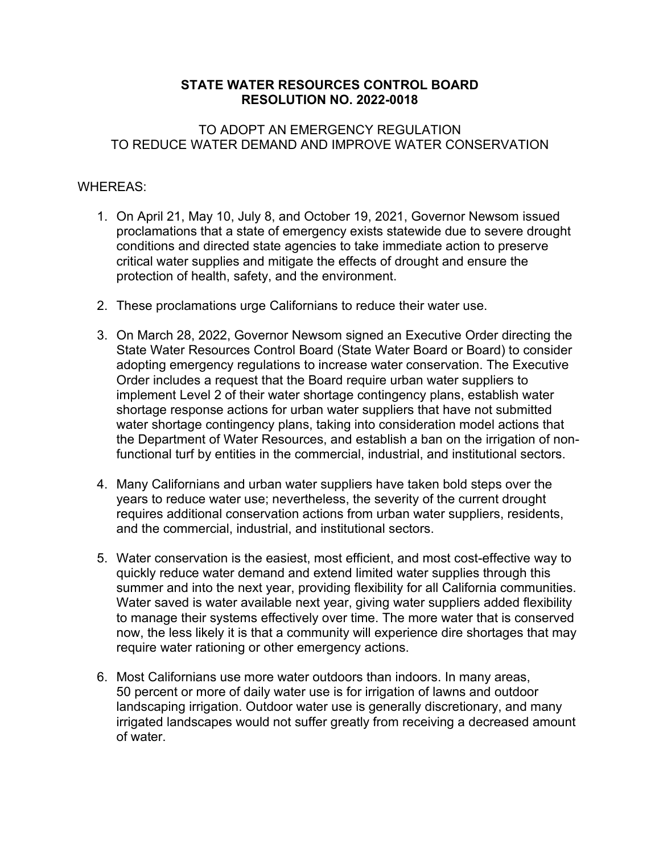## **STATE WATER RESOURCES CONTROL BOARD RESOLUTION NO. 2022-0018**

## TO ADOPT AN EMERGENCY REGULATION TO REDUCE WATER DEMAND AND IMPROVE WATER CONSERVATION

## WHEREAS:

- 1. On April 21, May 10, July 8, and October 19, 2021, Governor Newsom issued proclamations that a state of emergency exists statewide due to severe drought conditions and directed state agencies to take immediate action to preserve critical water supplies and mitigate the effects of drought and ensure the protection of health, safety, and the environment.
- 2. These proclamations urge Californians to reduce their water use.
- 3. On March 28, 2022, Governor Newsom signed an Executive Order directing the State Water Resources Control Board (State Water Board or Board) to consider adopting emergency regulations to increase water conservation. The Executive Order includes a request that the Board require urban water suppliers to implement Level 2 of their water shortage contingency plans, establish water shortage response actions for urban water suppliers that have not submitted water shortage contingency plans, taking into consideration model actions that the Department of Water Resources, and establish a ban on the irrigation of nonfunctional turf by entities in the commercial, industrial, and institutional sectors.
- 4. Many Californians and urban water suppliers have taken bold steps over the years to reduce water use; nevertheless, the severity of the current drought requires additional conservation actions from urban water suppliers, residents, and the commercial, industrial, and institutional sectors.
- 5. Water conservation is the easiest, most efficient, and most cost-effective way to quickly reduce water demand and extend limited water supplies through this summer and into the next year, providing flexibility for all California communities. Water saved is water available next year, giving water suppliers added flexibility to manage their systems effectively over time. The more water that is conserved now, the less likely it is that a community will experience dire shortages that may require water rationing or other emergency actions.
- 6. Most Californians use more water outdoors than indoors. In many areas, 50 percent or more of daily water use is for irrigation of lawns and outdoor landscaping irrigation. Outdoor water use is generally discretionary, and many irrigated landscapes would not suffer greatly from receiving a decreased amount of water.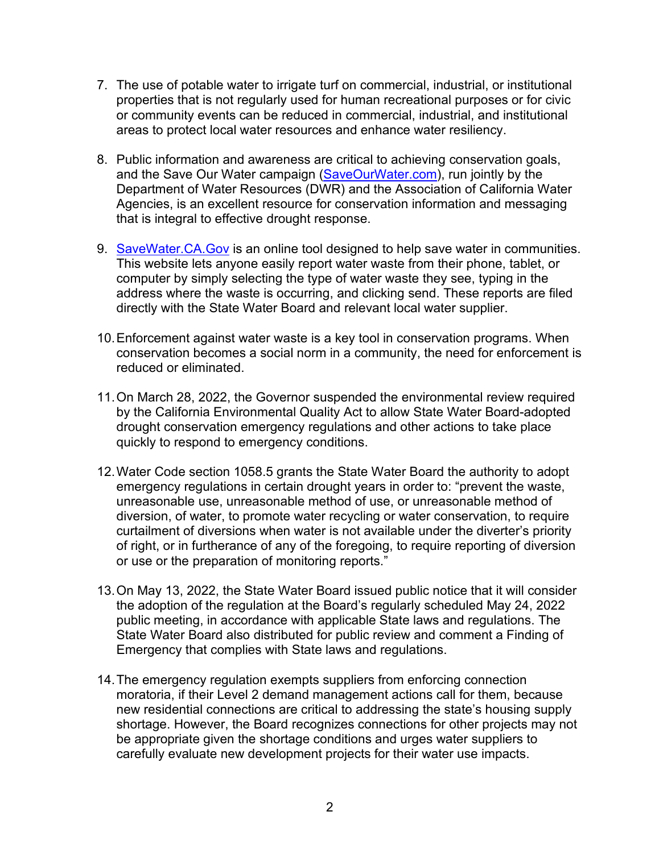- 7. The use of potable water to irrigate turf on commercial, industrial, or institutional properties that is not regularly used for human recreational purposes or for civic or community events can be reduced in commercial, industrial, and institutional areas to protect local water resources and enhance water resiliency.
- 8. Public information and awareness are critical to achieving conservation goals, and the Save Our Water campaign [\(SaveOurWater.com](http://www.saveourwater.com/)), run jointly by the Department of Water Resources (DWR) and the Association of California Water Agencies, is an excellent resource for conservation information and messaging that is integral to effective drought response.
- 9. [SaveWater.CA.Gov](https://savewater.ca.gov/) is an online tool designed to help save water in communities. This website lets anyone easily report water waste from their phone, tablet, or computer by simply selecting the type of water waste they see, typing in the address where the waste is occurring, and clicking send. These reports are filed directly with the State Water Board and relevant local water supplier.
- 10.Enforcement against water waste is a key tool in conservation programs. When conservation becomes a social norm in a community, the need for enforcement is reduced or eliminated.
- 11.On March 28, 2022, the Governor suspended the environmental review required by the California Environmental Quality Act to allow State Water Board-adopted drought conservation emergency regulations and other actions to take place quickly to respond to emergency conditions.
- 12.Water Code section 1058.5 grants the State Water Board the authority to adopt emergency regulations in certain drought years in order to: "prevent the waste, unreasonable use, unreasonable method of use, or unreasonable method of diversion, of water, to promote water recycling or water conservation, to require curtailment of diversions when water is not available under the diverter's priority of right, or in furtherance of any of the foregoing, to require reporting of diversion or use or the preparation of monitoring reports."
- 13.On May 13, 2022, the State Water Board issued public notice that it will consider the adoption of the regulation at the Board's regularly scheduled May 24, 2022 public meeting, in accordance with applicable State laws and regulations. The State Water Board also distributed for public review and comment a Finding of Emergency that complies with State laws and regulations.
- 14.The emergency regulation exempts suppliers from enforcing connection moratoria, if their Level 2 demand management actions call for them, because new residential connections are critical to addressing the state's housing supply shortage. However, the Board recognizes connections for other projects may not be appropriate given the shortage conditions and urges water suppliers to carefully evaluate new development projects for their water use impacts.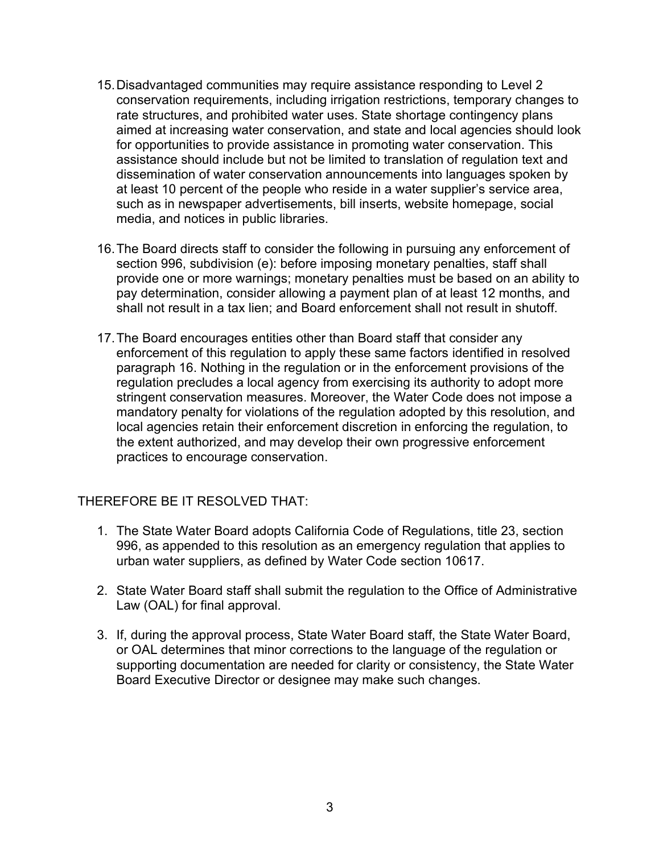- 15.Disadvantaged communities may require assistance responding to Level 2 conservation requirements, including irrigation restrictions, temporary changes to rate structures, and prohibited water uses. State shortage contingency plans aimed at increasing water conservation, and state and local agencies should look for opportunities to provide assistance in promoting water conservation. This assistance should include but not be limited to translation of regulation text and dissemination of water conservation announcements into languages spoken by at least 10 percent of the people who reside in a water supplier's service area, such as in newspaper advertisements, bill inserts, website homepage, social media, and notices in public libraries.
- 16.The Board directs staff to consider the following in pursuing any enforcement of section 996, subdivision (e): before imposing monetary penalties, staff shall provide one or more warnings; monetary penalties must be based on an ability to pay determination, consider allowing a payment plan of at least 12 months, and shall not result in a tax lien; and Board enforcement shall not result in shutoff.
- 17.The Board encourages entities other than Board staff that consider any enforcement of this regulation to apply these same factors identified in resolved paragraph 16. Nothing in the regulation or in the enforcement provisions of the regulation precludes a local agency from exercising its authority to adopt more stringent conservation measures. Moreover, the Water Code does not impose a mandatory penalty for violations of the regulation adopted by this resolution, and local agencies retain their enforcement discretion in enforcing the regulation, to the extent authorized, and may develop their own progressive enforcement practices to encourage conservation.

## THEREFORE BE IT RESOLVED THAT:

- 1. The State Water Board adopts California Code of Regulations, title 23, section 996, as appended to this resolution as an emergency regulation that applies to urban water suppliers, as defined by Water Code section 10617.
- 2. State Water Board staff shall submit the regulation to the Office of Administrative Law (OAL) for final approval.
- 3. If, during the approval process, State Water Board staff, the State Water Board, or OAL determines that minor corrections to the language of the regulation or supporting documentation are needed for clarity or consistency, the State Water Board Executive Director or designee may make such changes.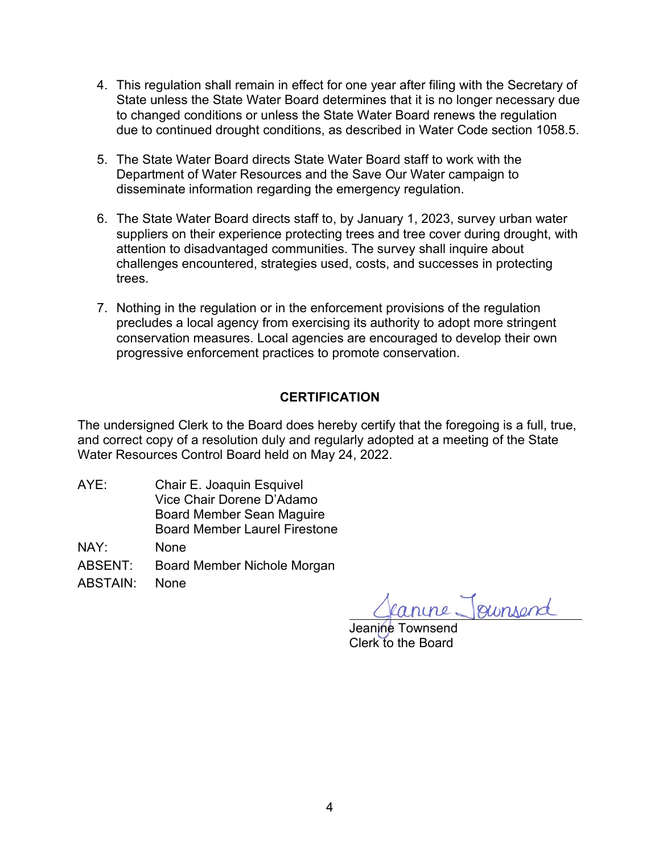- 4. This regulation shall remain in effect for one year after filing with the Secretary of State unless the State Water Board determines that it is no longer necessary due to changed conditions or unless the State Water Board renews the regulation due to continued drought conditions, as described in Water Code section 1058.5.
- 5. The State Water Board directs State Water Board staff to work with the Department of Water Resources and the Save Our Water campaign to disseminate information regarding the emergency regulation.
- 6. The State Water Board directs staff to, by January 1, 2023, survey urban water suppliers on their experience protecting trees and tree cover during drought, with attention to disadvantaged communities. The survey shall inquire about challenges encountered, strategies used, costs, and successes in protecting trees.
- 7. Nothing in the regulation or in the enforcement provisions of the regulation precludes a local agency from exercising its authority to adopt more stringent conservation measures. Local agencies are encouraged to develop their own progressive enforcement practices to promote conservation.

# **CERTIFICATION**

The undersigned Clerk to the Board does hereby certify that the foregoing is a full, true, and correct copy of a resolution duly and regularly adopted at a meeting of the State Water Resources Control Board held on May 24, 2022.

AYE: Chair E. Joaquin Esquivel Vice Chair Dorene D'Adamo Board Member Sean Maguire Board Member Laurel Firestone

NAY: None

ABSENT: Board Member Nichole Morgan

ABSTAIN: None

rine Joursend

Jeanine Townsend Clerk to the Board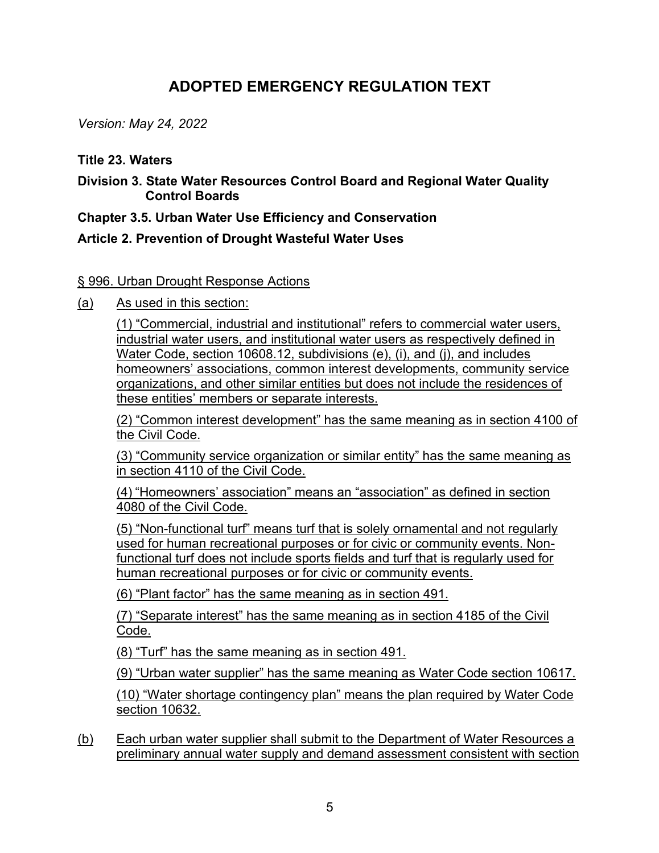# **ADOPTED EMERGENCY REGULATION TEXT**

*Version: May 24, 2022*

## **Title 23. Waters**

**Division 3. State Water Resources Control Board and Regional Water Quality Control Boards**

**Chapter 3.5. Urban Water Use Efficiency and Conservation**

## **Article 2. Prevention of Drought Wasteful Water Uses**

## § 996. Urban Drought Response Actions

(a) As used in this section:

(1) "Commercial, industrial and institutional" refers to commercial water users, industrial water users, and institutional water users as respectively defined in Water Code, section 10608.12, subdivisions (e), (i), and (j), and includes homeowners' associations, common interest developments, community service organizations, and other similar entities but does not include the residences of these entities' members or separate interests.

(2) "Common interest development" has the same meaning as in section 4100 of the Civil Code.

(3) "Community service organization or similar entity" has the same meaning as in section 4110 of the Civil Code.

(4) "Homeowners' association" means an "association" as defined in section 4080 of the Civil Code.

(5) "Non-functional turf" means turf that is solely ornamental and not regularly used for human recreational purposes or for civic or community events. Nonfunctional turf does not include sports fields and turf that is regularly used for human recreational purposes or for civic or community events.

(6) "Plant factor" has the same meaning as in section 491.

(7) "Separate interest" has the same meaning as in section 4185 of the Civil Code.

(8) "Turf" has the same meaning as in section 491.

(9) "Urban water supplier" has the same meaning as Water Code section 10617.

(10) "Water shortage contingency plan" means the plan required by Water Code section 10632.

(b) Each urban water supplier shall submit to the Department of Water Resources a preliminary annual water supply and demand assessment consistent with section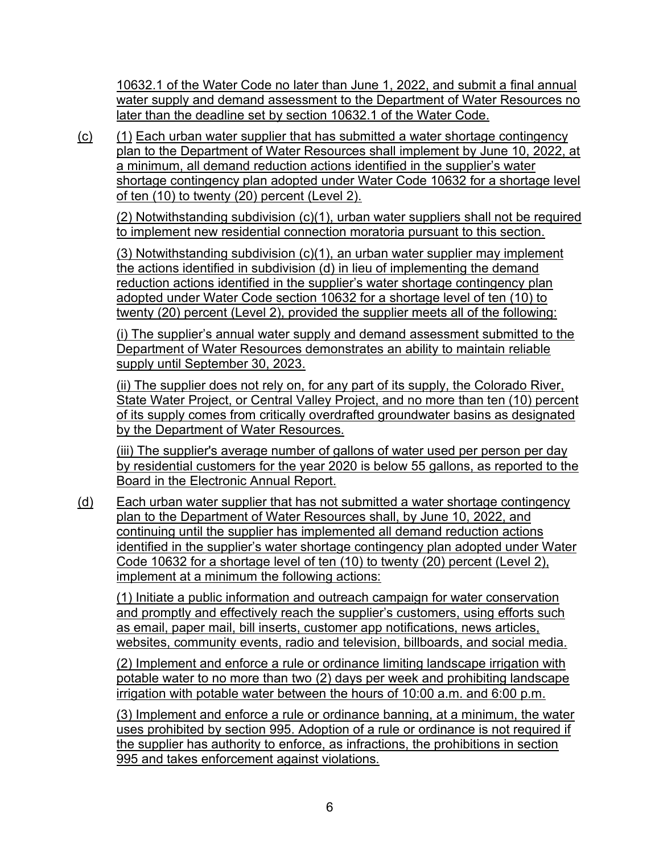10632.1 of the Water Code no later than June 1, 2022, and submit a final annual water supply and demand assessment to the Department of Water Resources no later than the deadline set by section 10632.1 of the Water Code.

(c) (1) Each urban water supplier that has submitted a water shortage contingency plan to the Department of Water Resources shall implement by June 10, 2022, at a minimum, all demand reduction actions identified in the supplier's water shortage contingency plan adopted under Water Code 10632 for a shortage level of ten (10) to twenty (20) percent (Level 2).

(2) Notwithstanding subdivision (c)(1), urban water suppliers shall not be required to implement new residential connection moratoria pursuant to this section.

(3) Notwithstanding subdivision (c)(1), an urban water supplier may implement the actions identified in subdivision (d) in lieu of implementing the demand reduction actions identified in the supplier's water shortage contingency plan adopted under Water Code section 10632 for a shortage level of ten (10) to twenty (20) percent (Level 2), provided the supplier meets all of the following:

(i) The supplier's annual water supply and demand assessment submitted to the Department of Water Resources demonstrates an ability to maintain reliable supply until September 30, 2023.

(ii) The supplier does not rely on, for any part of its supply, the Colorado River, State Water Project, or Central Valley Project, and no more than ten (10) percent of its supply comes from critically overdrafted groundwater basins as designated by the Department of Water Resources.

(iii) The supplier's average number of gallons of water used per person per day by residential customers for the year 2020 is below 55 gallons, as reported to the Board in the Electronic Annual Report.

(d) Each urban water supplier that has not submitted a water shortage contingency plan to the Department of Water Resources shall, by June 10, 2022, and continuing until the supplier has implemented all demand reduction actions identified in the supplier's water shortage contingency plan adopted under Water Code 10632 for a shortage level of ten (10) to twenty (20) percent (Level 2), implement at a minimum the following actions:

(1) Initiate a public information and outreach campaign for water conservation and promptly and effectively reach the supplier's customers, using efforts such as email, paper mail, bill inserts, customer app notifications, news articles, websites, community events, radio and television, billboards, and social media.

(2) Implement and enforce a rule or ordinance limiting landscape irrigation with potable water to no more than two (2) days per week and prohibiting landscape irrigation with potable water between the hours of 10:00 a.m. and 6:00 p.m.

(3) Implement and enforce a rule or ordinance banning, at a minimum, the water uses prohibited by section 995. Adoption of a rule or ordinance is not required if the supplier has authority to enforce, as infractions, the prohibitions in section 995 and takes enforcement against violations.